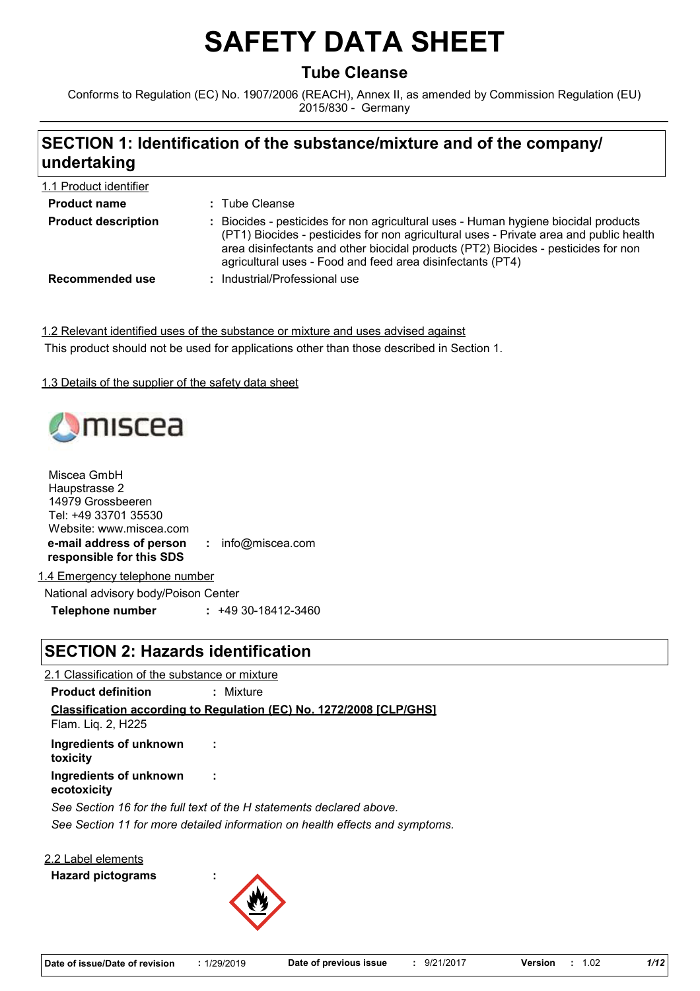# **SAFETY DATA SHEET**

# **Tube Cleanse**

Conforms to Regulation (EC) No. 1907/2006 (REACH), Annex II, as amended by Commission Regulation (EU) 2015/830 - Germany

# **SECTION 1: Identification of the substance/mixture and of the company/ undertaking**

| 1.1 Product identifier     |                                                                                                                                                                                                                                                                                                                                   |
|----------------------------|-----------------------------------------------------------------------------------------------------------------------------------------------------------------------------------------------------------------------------------------------------------------------------------------------------------------------------------|
| <b>Product name</b>        | : Tube Cleanse                                                                                                                                                                                                                                                                                                                    |
| <b>Product description</b> | : Biocides - pesticides for non agricultural uses - Human hygiene biocidal products<br>(PT1) Biocides - pesticides for non agricultural uses - Private area and public health<br>area disinfectants and other biocidal products (PT2) Biocides - pesticides for non<br>agricultural uses - Food and feed area disinfectants (PT4) |
| Recommended use            | : Industrial/Professional use                                                                                                                                                                                                                                                                                                     |

1.2 Relevant identified uses of the substance or mixture and uses advised against This product should not be used for applications other than those described in Section 1.

1.3 Details of the supplier of the safety data sheet

# miscea

| Miscea GmbH                    |                     |
|--------------------------------|---------------------|
| Haupstrasse 2                  |                     |
| 14979 Grossbeeren              |                     |
| Tel: +49 33701 35530           |                     |
| Website: www.miscea.com        |                     |
| e-mail address of person       | : $info@miscea.com$ |
| responsible for this SDS       |                     |
| 4 Escaracea: talenhana susabar |                     |

1.4 Emergency telephone number

National advisory body/Poison Center **Telephone number :** +49 30-18412-3460

# **SECTION 2: Hazards identification**

*See Section 11 for more detailed information on health effects and symptoms.* **Classification according to Regulation (EC) No. 1272/2008 [CLP/GHS]** 2.1 Classification of the substance or mixture **Product definition :** Mixture *See Section 16 for the full text of the H statements declared above.* **Ingredients of unknown toxicity : Ingredients of unknown ecotoxicity :** Flam. Liq. 2, H225

2.2 Label elements

**Hazard pictograms :**

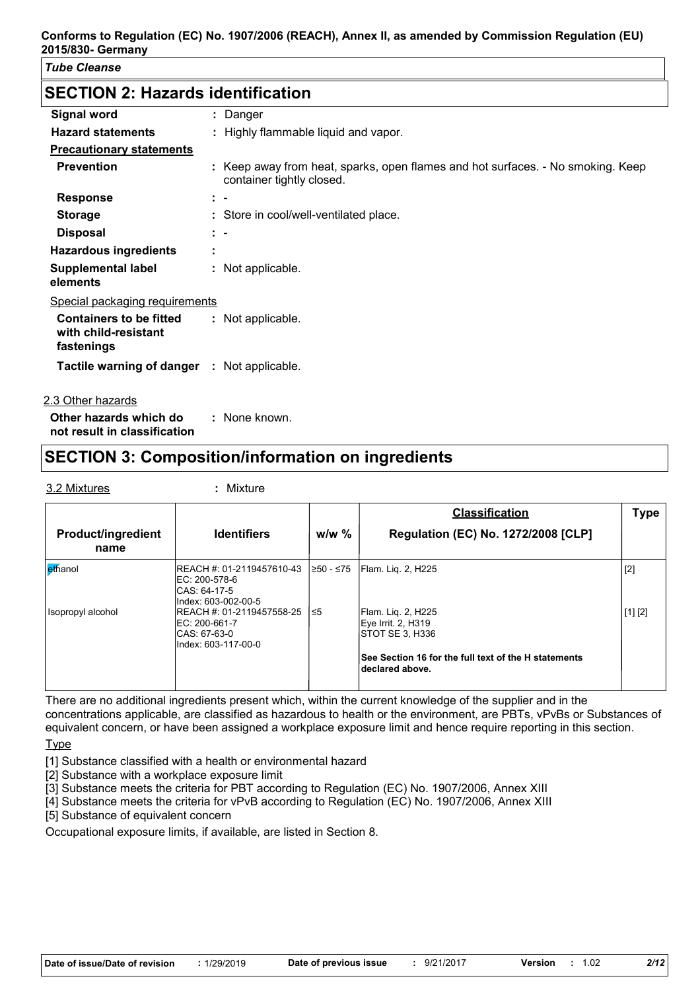# **SECTION 2: Hazards identification**

| <b>Signal word</b>                                                   |                        | : Danger                                                                                                     |
|----------------------------------------------------------------------|------------------------|--------------------------------------------------------------------------------------------------------------|
| <b>Hazard statements</b>                                             |                        | : Highly flammable liquid and vapor.                                                                         |
| <b>Precautionary statements</b>                                      |                        |                                                                                                              |
| <b>Prevention</b>                                                    |                        | : Keep away from heat, sparks, open flames and hot surfaces. - No smoking. Keep<br>container tightly closed. |
| <b>Response</b>                                                      | $\ddot{\phantom{1}}$   |                                                                                                              |
| <b>Storage</b>                                                       |                        | : Store in cool/well-ventilated place.                                                                       |
| <b>Disposal</b>                                                      | $\mathbb{R}^n$         |                                                                                                              |
| <b>Hazardous ingredients</b>                                         | $\bullet$<br>$\bullet$ |                                                                                                              |
| <b>Supplemental label</b><br>elements                                |                        | : Not applicable.                                                                                            |
| Special packaging requirements                                       |                        |                                                                                                              |
| <b>Containers to be fitted</b><br>with child-resistant<br>fastenings |                        | : Not applicable.                                                                                            |
| <b>Tactile warning of danger : Not applicable.</b>                   |                        |                                                                                                              |
| 2.3 Other hazards                                                    |                        |                                                                                                              |

**Other hazards which do : not result in classification** : None known.

# **SECTION 3: Composition/information on ingredients**

3.2 Mixtures **:** Mixture

|                                   |                                                                                   |            | <b>Classification</b>                                                   | Type    |
|-----------------------------------|-----------------------------------------------------------------------------------|------------|-------------------------------------------------------------------------|---------|
| <b>Product/ingredient</b><br>name | <b>Identifiers</b>                                                                | $w/w$ %    | <b>Regulation (EC) No. 1272/2008 [CLP]</b>                              |         |
| ethanol                           | REACH #: 01-2119457610-43<br>EC: 200-578-6<br>CAS: 64-17-5<br>Index: 603-002-00-5 | l≥50 - ≤75 | <b>Flam. Lig. 2, H225</b>                                               | $[2]$   |
| Isopropyl alcohol                 | REACH #: 01-2119457558-25<br>EC: 200-661-7<br>CAS: 67-63-0<br>Index: 603-117-00-0 | 1≤5        | Flam. Lig. 2, H225<br>Eve Irrit. 2, H319<br>ISTOT SE 3. H336            | [1] [2] |
|                                   |                                                                                   |            | See Section 16 for the full text of the H statements<br>declared above. |         |

There are no additional ingredients present which, within the current knowledge of the supplier and in the concentrations applicable, are classified as hazardous to health or the environment, are PBTs, vPvBs or Substances of equivalent concern, or have been assigned a workplace exposure limit and hence require reporting in this section.

Type

- [1] Substance classified with a health or environmental hazard
- [2] Substance with a workplace exposure limit
- [3] Substance meets the criteria for PBT according to Regulation (EC) No. 1907/2006, Annex XIII
- [4] Substance meets the criteria for vPvB according to Regulation (EC) No. 1907/2006, Annex XIII
- [5] Substance of equivalent concern

Occupational exposure limits, if available, are listed in Section 8.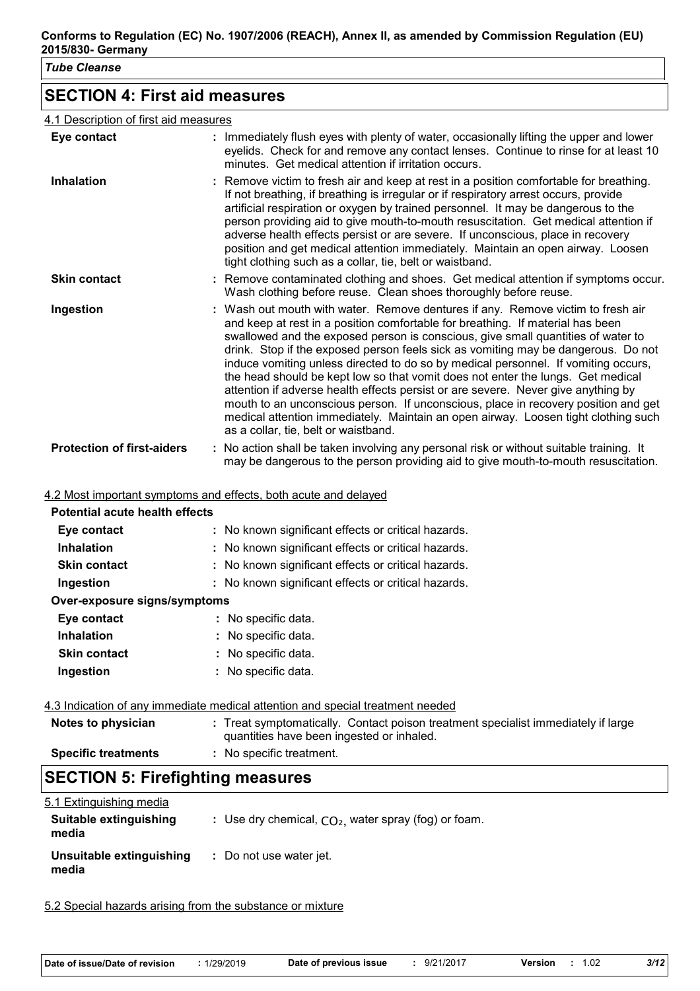# **SECTION 4: First aid measures**

#### 4.1 Description of first aid measures

| Eye contact                       | : Immediately flush eyes with plenty of water, occasionally lifting the upper and lower<br>eyelids. Check for and remove any contact lenses. Continue to rinse for at least 10<br>minutes. Get medical attention if irritation occurs.                                                                                                                                                                                                                                                                                                                                                                                                                                                                                                                                                                                       |
|-----------------------------------|------------------------------------------------------------------------------------------------------------------------------------------------------------------------------------------------------------------------------------------------------------------------------------------------------------------------------------------------------------------------------------------------------------------------------------------------------------------------------------------------------------------------------------------------------------------------------------------------------------------------------------------------------------------------------------------------------------------------------------------------------------------------------------------------------------------------------|
| <b>Inhalation</b>                 | : Remove victim to fresh air and keep at rest in a position comfortable for breathing.<br>If not breathing, if breathing is irregular or if respiratory arrest occurs, provide<br>artificial respiration or oxygen by trained personnel. It may be dangerous to the<br>person providing aid to give mouth-to-mouth resuscitation. Get medical attention if<br>adverse health effects persist or are severe. If unconscious, place in recovery<br>position and get medical attention immediately. Maintain an open airway. Loosen<br>tight clothing such as a collar, tie, belt or waistband.                                                                                                                                                                                                                                 |
| <b>Skin contact</b>               | : Remove contaminated clothing and shoes. Get medical attention if symptoms occur.<br>Wash clothing before reuse. Clean shoes thoroughly before reuse.                                                                                                                                                                                                                                                                                                                                                                                                                                                                                                                                                                                                                                                                       |
| Ingestion                         | : Wash out mouth with water. Remove dentures if any. Remove victim to fresh air<br>and keep at rest in a position comfortable for breathing. If material has been<br>swallowed and the exposed person is conscious, give small quantities of water to<br>drink. Stop if the exposed person feels sick as vomiting may be dangerous. Do not<br>induce vomiting unless directed to do so by medical personnel. If vomiting occurs,<br>the head should be kept low so that vomit does not enter the lungs. Get medical<br>attention if adverse health effects persist or are severe. Never give anything by<br>mouth to an unconscious person. If unconscious, place in recovery position and get<br>medical attention immediately. Maintain an open airway. Loosen tight clothing such<br>as a collar, tie, belt or waistband. |
| <b>Protection of first-aiders</b> | : No action shall be taken involving any personal risk or without suitable training. It<br>may be dangerous to the person providing aid to give mouth-to-mouth resuscitation.                                                                                                                                                                                                                                                                                                                                                                                                                                                                                                                                                                                                                                                |

4.2 Most important symptoms and effects, both acute and delayed

| <b>Potential acute health effects</b> |                                                     |  |
|---------------------------------------|-----------------------------------------------------|--|
| Eye contact                           | : No known significant effects or critical hazards. |  |
| <b>Inhalation</b>                     | : No known significant effects or critical hazards. |  |
| <b>Skin contact</b>                   | : No known significant effects or critical hazards. |  |
| Ingestion                             | : No known significant effects or critical hazards. |  |
| Over-exposure signs/symptoms          |                                                     |  |
| Eye contact                           | : No specific data.                                 |  |
| <b>Inhalation</b>                     | : No specific data.                                 |  |
| <b>Skin contact</b>                   | : No specific data.                                 |  |
| Ingestion                             | : No specific data.                                 |  |
|                                       |                                                     |  |

4.3 Indication of any immediate medical attention and special treatment needed

| Notes to physician         | : Treat symptomatically. Contact poison treatment specialist immediately if large |
|----------------------------|-----------------------------------------------------------------------------------|
|                            | quantities have been ingested or inhaled.                                         |
| <b>Specific treatments</b> | : No specific treatment.                                                          |

# **SECTION 5: Firefighting measures**

| 5.1 Extinguishing media<br>Suitable extinguishing<br>media | : Use dry chemical, $CO2$ , water spray (fog) or foam. |
|------------------------------------------------------------|--------------------------------------------------------|
| Unsuitable extinguishing<br>media                          | : Do not use water jet.                                |

5.2 Special hazards arising from the substance or mixture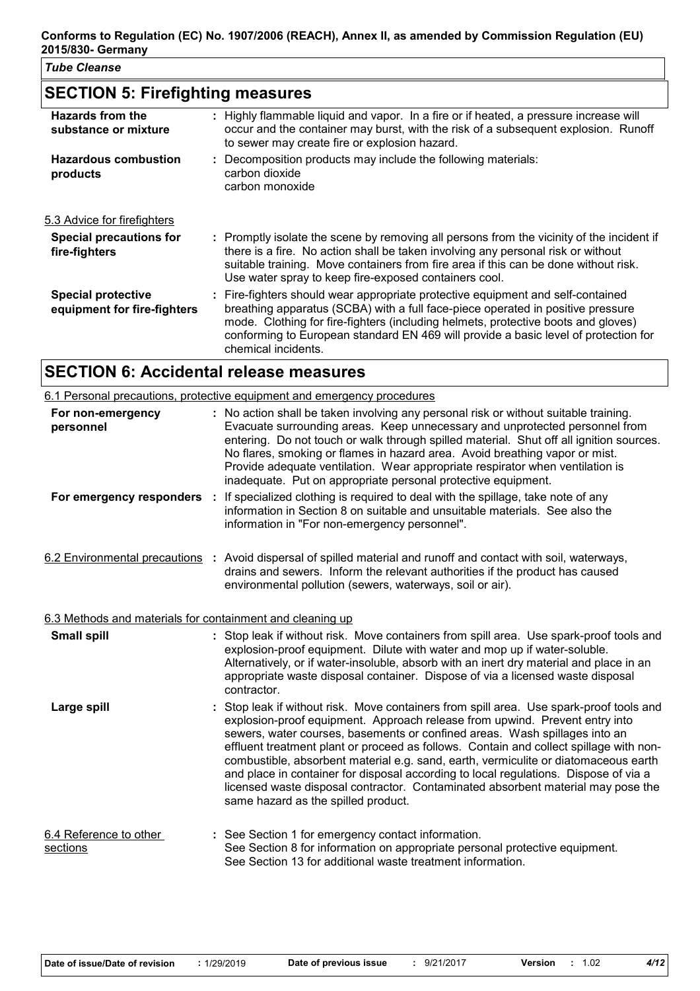# **SECTION 5: Firefighting measures**

| Hazards from the<br>substance or mixture                 | : Highly flammable liquid and vapor. In a fire or if heated, a pressure increase will<br>occur and the container may burst, with the risk of a subsequent explosion. Runoff<br>to sewer may create fire or explosion hazard.                                                                                                                                          |
|----------------------------------------------------------|-----------------------------------------------------------------------------------------------------------------------------------------------------------------------------------------------------------------------------------------------------------------------------------------------------------------------------------------------------------------------|
| <b>Hazardous combustion</b><br>products                  | : Decomposition products may include the following materials:<br>carbon dioxide<br>carbon monoxide                                                                                                                                                                                                                                                                    |
| 5.3 Advice for firefighters                              |                                                                                                                                                                                                                                                                                                                                                                       |
| <b>Special precautions for</b><br>fire-fighters          | : Promptly isolate the scene by removing all persons from the vicinity of the incident if<br>there is a fire. No action shall be taken involving any personal risk or without<br>suitable training. Move containers from fire area if this can be done without risk.<br>Use water spray to keep fire-exposed containers cool.                                         |
| <b>Special protective</b><br>equipment for fire-fighters | : Fire-fighters should wear appropriate protective equipment and self-contained<br>breathing apparatus (SCBA) with a full face-piece operated in positive pressure<br>mode. Clothing for fire-fighters (including helmets, protective boots and gloves)<br>conforming to European standard EN 469 will provide a basic level of protection for<br>chemical incidents. |
|                                                          |                                                                                                                                                                                                                                                                                                                                                                       |

# **SECTION 6: Accidental release measures**

|                                                           | 6.1 Personal precautions, protective equipment and emergency procedures                                                                                                                                                                                                                                                                                                                                                                                                                                                                                                                                                                                |
|-----------------------------------------------------------|--------------------------------------------------------------------------------------------------------------------------------------------------------------------------------------------------------------------------------------------------------------------------------------------------------------------------------------------------------------------------------------------------------------------------------------------------------------------------------------------------------------------------------------------------------------------------------------------------------------------------------------------------------|
| For non-emergency<br>personnel                            | : No action shall be taken involving any personal risk or without suitable training.<br>Evacuate surrounding areas. Keep unnecessary and unprotected personnel from<br>entering. Do not touch or walk through spilled material. Shut off all ignition sources.<br>No flares, smoking or flames in hazard area. Avoid breathing vapor or mist.<br>Provide adequate ventilation. Wear appropriate respirator when ventilation is<br>inadequate. Put on appropriate personal protective equipment.                                                                                                                                                        |
| For emergency responders :                                | If specialized clothing is required to deal with the spillage, take note of any<br>information in Section 8 on suitable and unsuitable materials. See also the<br>information in "For non-emergency personnel".                                                                                                                                                                                                                                                                                                                                                                                                                                        |
|                                                           | 6.2 Environmental precautions : Avoid dispersal of spilled material and runoff and contact with soil, waterways,<br>drains and sewers. Inform the relevant authorities if the product has caused<br>environmental pollution (sewers, waterways, soil or air).                                                                                                                                                                                                                                                                                                                                                                                          |
| 6.3 Methods and materials for containment and cleaning up |                                                                                                                                                                                                                                                                                                                                                                                                                                                                                                                                                                                                                                                        |
| <b>Small spill</b>                                        | : Stop leak if without risk. Move containers from spill area. Use spark-proof tools and<br>explosion-proof equipment. Dilute with water and mop up if water-soluble.<br>Alternatively, or if water-insoluble, absorb with an inert dry material and place in an<br>appropriate waste disposal container. Dispose of via a licensed waste disposal<br>contractor.                                                                                                                                                                                                                                                                                       |
| Large spill                                               | Stop leak if without risk. Move containers from spill area. Use spark-proof tools and<br>explosion-proof equipment. Approach release from upwind. Prevent entry into<br>sewers, water courses, basements or confined areas. Wash spillages into an<br>effluent treatment plant or proceed as follows. Contain and collect spillage with non-<br>combustible, absorbent material e.g. sand, earth, vermiculite or diatomaceous earth<br>and place in container for disposal according to local regulations. Dispose of via a<br>licensed waste disposal contractor. Contaminated absorbent material may pose the<br>same hazard as the spilled product. |
| 6.4 Reference to other<br>sections                        | : See Section 1 for emergency contact information.<br>See Section 8 for information on appropriate personal protective equipment.<br>See Section 13 for additional waste treatment information.                                                                                                                                                                                                                                                                                                                                                                                                                                                        |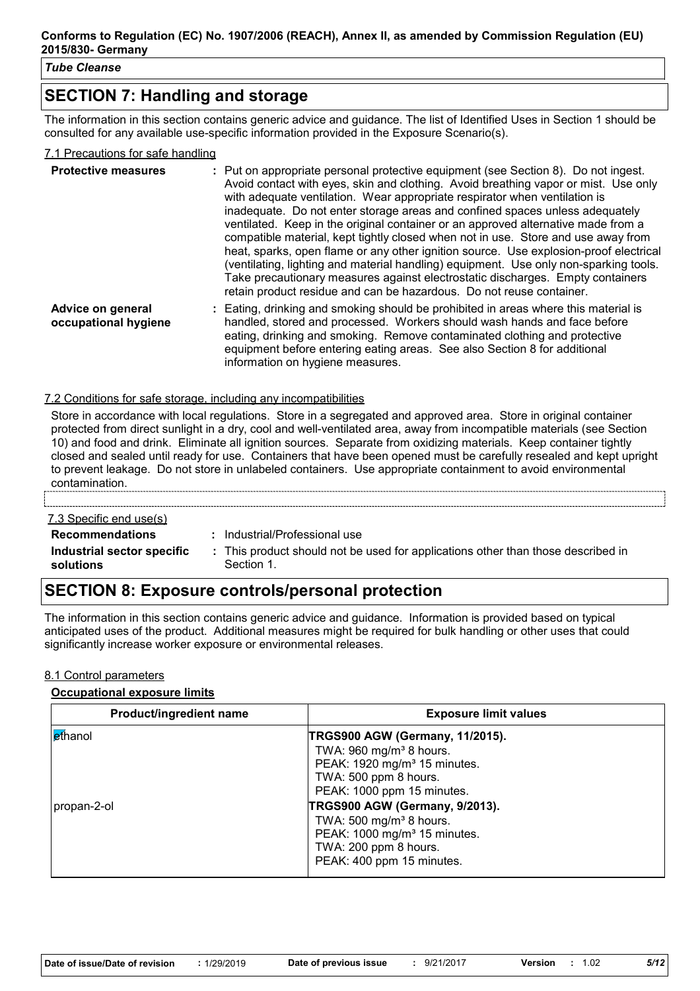# **SECTION 7: Handling and storage**

The information in this section contains generic advice and guidance. The list of Identified Uses in Section 1 should be consulted for any available use-specific information provided in the Exposure Scenario(s).

#### 7.1 Precautions for safe handling

| <b>Protective measures</b>                | : Put on appropriate personal protective equipment (see Section 8). Do not ingest.<br>Avoid contact with eyes, skin and clothing. Avoid breathing vapor or mist. Use only<br>with adequate ventilation. Wear appropriate respirator when ventilation is<br>inadequate. Do not enter storage areas and confined spaces unless adequately<br>ventilated. Keep in the original container or an approved alternative made from a<br>compatible material, kept tightly closed when not in use. Store and use away from<br>heat, sparks, open flame or any other ignition source. Use explosion-proof electrical<br>(ventilating, lighting and material handling) equipment. Use only non-sparking tools.<br>Take precautionary measures against electrostatic discharges. Empty containers<br>retain product residue and can be hazardous. Do not reuse container. |
|-------------------------------------------|---------------------------------------------------------------------------------------------------------------------------------------------------------------------------------------------------------------------------------------------------------------------------------------------------------------------------------------------------------------------------------------------------------------------------------------------------------------------------------------------------------------------------------------------------------------------------------------------------------------------------------------------------------------------------------------------------------------------------------------------------------------------------------------------------------------------------------------------------------------|
| Advice on general<br>occupational hygiene | : Eating, drinking and smoking should be prohibited in areas where this material is<br>handled, stored and processed. Workers should wash hands and face before<br>eating, drinking and smoking. Remove contaminated clothing and protective<br>equipment before entering eating areas. See also Section 8 for additional<br>information on hygiene measures.                                                                                                                                                                                                                                                                                                                                                                                                                                                                                                 |

#### 7.2 Conditions for safe storage, including any incompatibilities

Store in accordance with local regulations. Store in a segregated and approved area. Store in original container protected from direct sunlight in a dry, cool and well-ventilated area, away from incompatible materials (see Section 10) and food and drink. Eliminate all ignition sources. Separate from oxidizing materials. Keep container tightly closed and sealed until ready for use. Containers that have been opened must be carefully resealed and kept upright to prevent leakage. Do not store in unlabeled containers. Use appropriate containment to avoid environmental contamination.

#### 7.3 Specific end use(s)

**Recommendations :** Industrial/Professional use

**Industrial sector specific : solutions**

- 
- This product should not be used for applications other than those described in Section 1.

## **SECTION 8: Exposure controls/personal protection**

The information in this section contains generic advice and guidance. Information is provided based on typical anticipated uses of the product. Additional measures might be required for bulk handling or other uses that could significantly increase worker exposure or environmental releases.

#### 8.1 Control parameters

#### **Occupational exposure limits**

| Product/ingredient name | <b>Exposure limit values</b>                                                                                                                                                |
|-------------------------|-----------------------------------------------------------------------------------------------------------------------------------------------------------------------------|
| ethanol                 | TRGS900 AGW (Germany, 11/2015).<br>TWA: $960$ mg/m <sup>3</sup> 8 hours.<br>PEAK: 1920 mg/m <sup>3</sup> 15 minutes.<br>TWA: 500 ppm 8 hours.<br>PEAK: 1000 ppm 15 minutes. |
| propan-2-ol             | TRGS900 AGW (Germany, 9/2013).<br>TWA: 500 mg/m <sup>3</sup> 8 hours.<br>PEAK: 1000 mg/m <sup>3</sup> 15 minutes.<br>TWA: 200 ppm 8 hours.<br>PEAK: 400 ppm 15 minutes.     |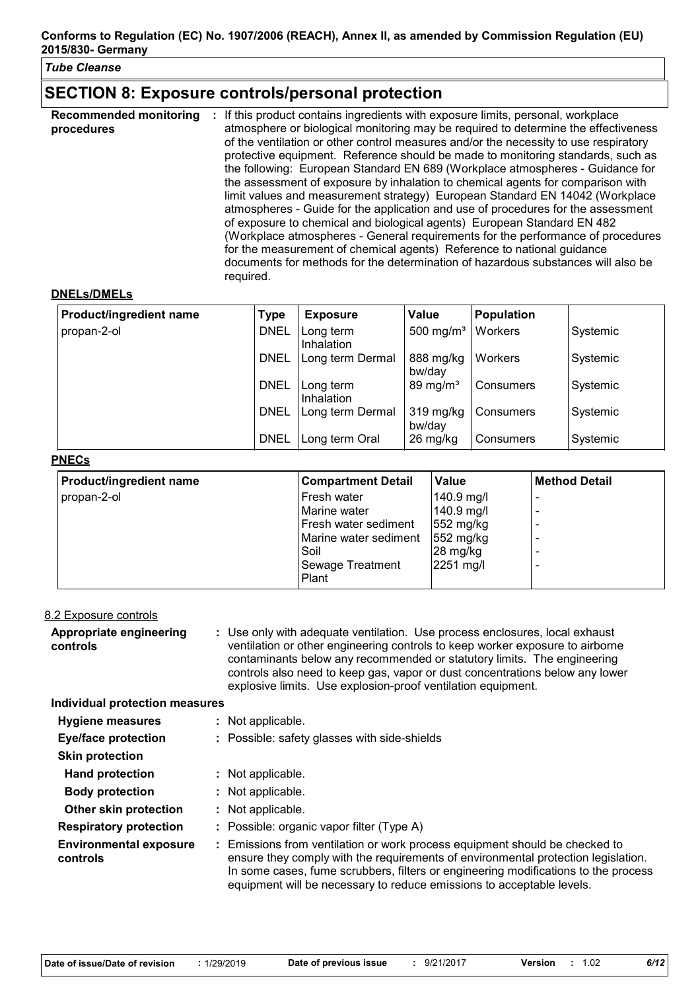## **SECTION 8: Exposure controls/personal protection**

| <b>Recommended monitoring</b><br>procedures | If this product contains ingredients with exposure limits, personal, workplace<br>atmosphere or biological monitoring may be required to determine the effectiveness<br>of the ventilation or other control measures and/or the necessity to use respiratory<br>protective equipment. Reference should be made to monitoring standards, such as<br>the following: European Standard EN 689 (Workplace atmospheres - Guidance for<br>the assessment of exposure by inhalation to chemical agents for comparison with<br>limit values and measurement strategy) European Standard EN 14042 (Workplace<br>atmospheres - Guide for the application and use of procedures for the assessment<br>of exposure to chemical and biological agents) European Standard EN 482<br>(Workplace atmospheres - General requirements for the performance of procedures<br>for the measurement of chemical agents) Reference to national guidance<br>documents for methods for the determination of hazardous substances will also be |
|---------------------------------------------|---------------------------------------------------------------------------------------------------------------------------------------------------------------------------------------------------------------------------------------------------------------------------------------------------------------------------------------------------------------------------------------------------------------------------------------------------------------------------------------------------------------------------------------------------------------------------------------------------------------------------------------------------------------------------------------------------------------------------------------------------------------------------------------------------------------------------------------------------------------------------------------------------------------------------------------------------------------------------------------------------------------------|
|                                             | required.                                                                                                                                                                                                                                                                                                                                                                                                                                                                                                                                                                                                                                                                                                                                                                                                                                                                                                                                                                                                           |

#### **DNELs/DMELs**

| Product/ingredient name | <b>Type</b> | <b>Exposure</b>         | <b>Value</b>          | Population |          |
|-------------------------|-------------|-------------------------|-----------------------|------------|----------|
| propan-2-ol             | <b>DNEL</b> | Long term<br>Inhalation | 500 mg/m <sup>3</sup> | Workers    | Systemic |
|                         | <b>DNEL</b> | Long term Dermal        | 888 mg/kg<br>bw/day   | Workers    | Systemic |
|                         | <b>DNEL</b> | Long term<br>Inhalation | 89 mg/m <sup>3</sup>  | Consumers  | Systemic |
|                         | <b>DNEL</b> | Long term Dermal        | 319 mg/kg<br>bw/day   | Consumers  | Systemic |
|                         | <b>DNEL</b> | Long term Oral          | 26 mg/kg              | Consumers  | Systemic |

#### **PNECs**

**controls**

| <b>Product/ingredient name</b> | <b>Compartment Detail</b> | <b>Value</b>        | <b>Method Detail</b> |
|--------------------------------|---------------------------|---------------------|----------------------|
| propan-2-ol                    | Fresh water               | 140.9 mg/l          |                      |
|                                | Marine water              | 140.9 mg/l          |                      |
|                                | Fresh water sediment      | $552 \text{ mg/kg}$ |                      |
|                                | Marine water sediment     | $552 \text{ mg/kg}$ |                      |
|                                | Soil                      | 28 mg/kg            |                      |
|                                | <b>Sewage Treatment</b>   | 2251 mg/l           |                      |
|                                | Plant                     |                     |                      |

| 8.2 Exposure controls               |                                                                                                                                                                                                                                                                                                                                                                                         |
|-------------------------------------|-----------------------------------------------------------------------------------------------------------------------------------------------------------------------------------------------------------------------------------------------------------------------------------------------------------------------------------------------------------------------------------------|
| Appropriate engineering<br>controls | : Use only with adequate ventilation. Use process enclosures, local exhaust<br>ventilation or other engineering controls to keep worker exposure to airborne<br>contaminants below any recommended or statutory limits. The engineering<br>controls also need to keep gas, vapor or dust concentrations below any lower<br>explosive limits. Use explosion-proof ventilation equipment. |
| Individual protection measures      |                                                                                                                                                                                                                                                                                                                                                                                         |
| <b>Hygiene measures</b>             | : Not applicable.                                                                                                                                                                                                                                                                                                                                                                       |
| <b>Eye/face protection</b>          | : Possible: safety glasses with side-shields                                                                                                                                                                                                                                                                                                                                            |
| <b>Skin protection</b>              |                                                                                                                                                                                                                                                                                                                                                                                         |
| <b>Hand protection</b>              | : Not applicable.                                                                                                                                                                                                                                                                                                                                                                       |
| <b>Body protection</b>              | : Not applicable.                                                                                                                                                                                                                                                                                                                                                                       |
| Other skin protection               | : Not applicable.                                                                                                                                                                                                                                                                                                                                                                       |
| <b>Respiratory protection</b>       | : Possible: organic vapor filter (Type A)                                                                                                                                                                                                                                                                                                                                               |
| <b>Environmental exposure</b>       | : Emissions from ventilation or work process equipment should be checked to                                                                                                                                                                                                                                                                                                             |

ensure they comply with the requirements of environmental protection legislation. In some cases, fume scrubbers, filters or engineering modifications to the process

equipment will be necessary to reduce emissions to acceptable levels.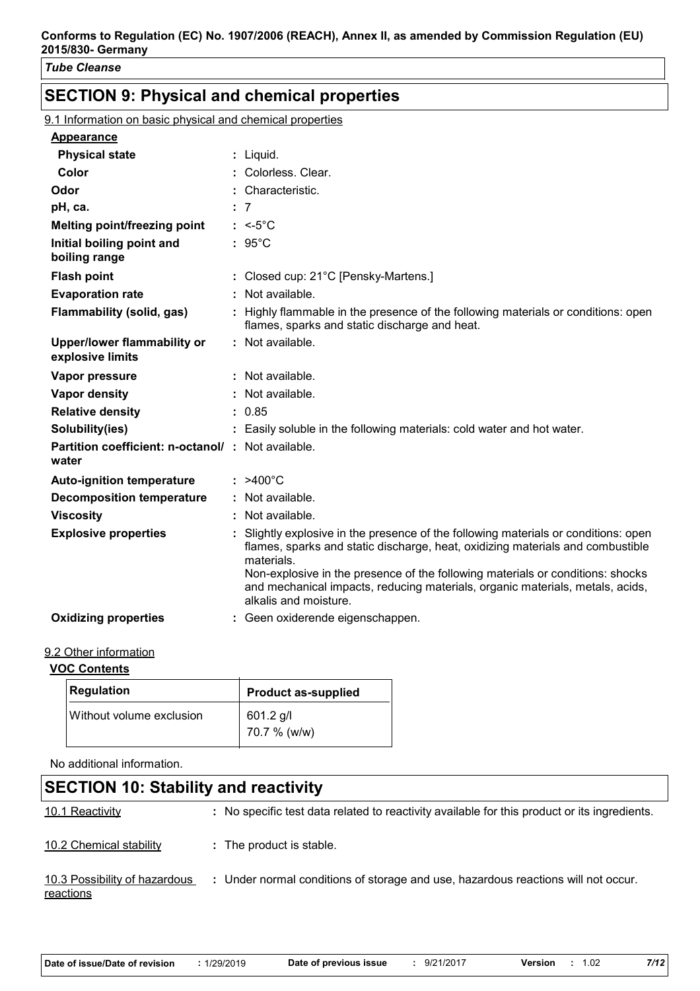# **SECTION 9: Physical and chemical properties**

9.1 Information on basic physical and chemical properties

| <b>Appearance</b>                                                 |                                                                                                                                                                                                                                                                                                                                                                               |
|-------------------------------------------------------------------|-------------------------------------------------------------------------------------------------------------------------------------------------------------------------------------------------------------------------------------------------------------------------------------------------------------------------------------------------------------------------------|
| <b>Physical state</b>                                             | : Liquid.                                                                                                                                                                                                                                                                                                                                                                     |
| Color                                                             | Colorless. Clear.                                                                                                                                                                                                                                                                                                                                                             |
| Odor                                                              | : Characteristic.                                                                                                                                                                                                                                                                                                                                                             |
| pH, ca.                                                           | : 7                                                                                                                                                                                                                                                                                                                                                                           |
| Melting point/freezing point                                      | $: < -5^{\circ}$ C                                                                                                                                                                                                                                                                                                                                                            |
| Initial boiling point and<br>boiling range                        | $: 95^{\circ}$ C                                                                                                                                                                                                                                                                                                                                                              |
| <b>Flash point</b>                                                | : Closed cup: 21°C [Pensky-Martens.]                                                                                                                                                                                                                                                                                                                                          |
|                                                                   |                                                                                                                                                                                                                                                                                                                                                                               |
| <b>Evaporation rate</b>                                           | : Not available.                                                                                                                                                                                                                                                                                                                                                              |
| <b>Flammability (solid, gas)</b>                                  | : Highly flammable in the presence of the following materials or conditions: open<br>flames, sparks and static discharge and heat.                                                                                                                                                                                                                                            |
| <b>Upper/lower flammability or</b><br>explosive limits            | : Not available.                                                                                                                                                                                                                                                                                                                                                              |
| Vapor pressure                                                    | : Not available.                                                                                                                                                                                                                                                                                                                                                              |
| Vapor density                                                     | : Not available.                                                                                                                                                                                                                                                                                                                                                              |
| <b>Relative density</b>                                           | : 0.85                                                                                                                                                                                                                                                                                                                                                                        |
| Solubility(ies)                                                   | : Easily soluble in the following materials: cold water and hot water.                                                                                                                                                                                                                                                                                                        |
| <b>Partition coefficient: n-octanol/: Not available.</b><br>water |                                                                                                                                                                                                                                                                                                                                                                               |
| <b>Auto-ignition temperature</b>                                  | $: >400^{\circ}$ C                                                                                                                                                                                                                                                                                                                                                            |
| <b>Decomposition temperature</b>                                  | : Not available.                                                                                                                                                                                                                                                                                                                                                              |
| <b>Viscosity</b>                                                  | : Not available.                                                                                                                                                                                                                                                                                                                                                              |
| <b>Explosive properties</b>                                       | Slightly explosive in the presence of the following materials or conditions: open<br>flames, sparks and static discharge, heat, oxidizing materials and combustible<br>materials.<br>Non-explosive in the presence of the following materials or conditions: shocks<br>and mechanical impacts, reducing materials, organic materials, metals, acids,<br>alkalis and moisture. |
| <b>Oxidizing properties</b>                                       | : Geen oxiderende eigenschappen.                                                                                                                                                                                                                                                                                                                                              |

#### 9.2 Other information

#### **VOC Contents**

| Regulation               | <b>Product as-supplied</b>  |
|--------------------------|-----------------------------|
| Without volume exclusion | $601.2$ g/l<br>70.7 % (w/w) |

No additional information.

# **SECTION 10: Stability and reactivity**

10.1 Reactivity **:** No specific test data related to reactivity available for this product or its ingredients.

10.2 Chemical stability **:** The product is stable.

10.3 Possibility of hazardous **reactions :** Under normal conditions of storage and use, hazardous reactions will not occur.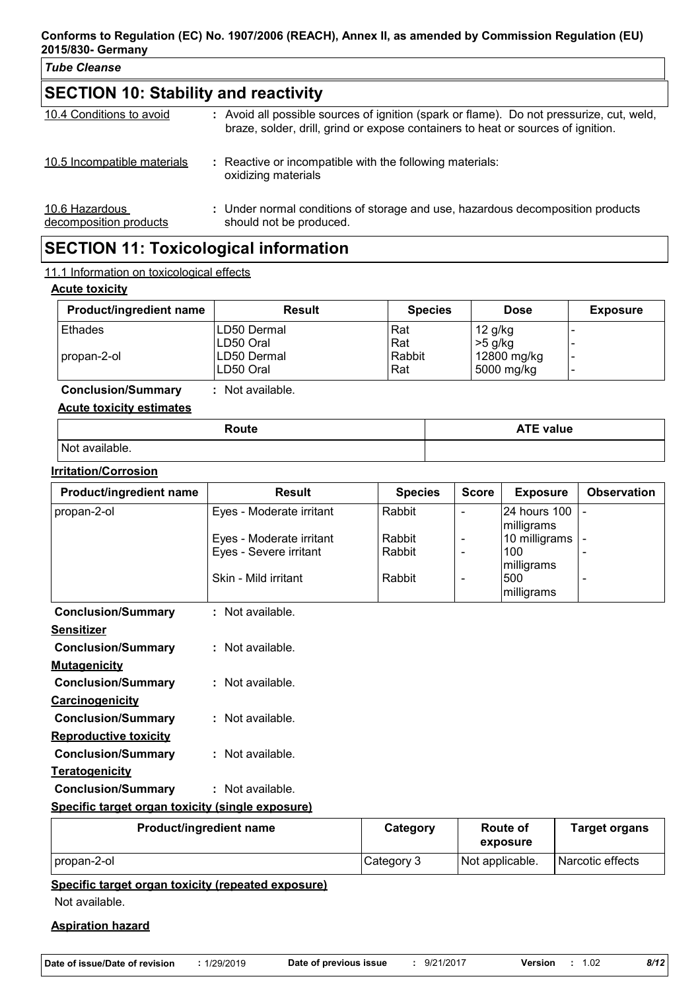| <b>Tube Cleanse</b>                         |                                                                                                                                                                              |  |  |  |
|---------------------------------------------|------------------------------------------------------------------------------------------------------------------------------------------------------------------------------|--|--|--|
| <b>SECTION 10: Stability and reactivity</b> |                                                                                                                                                                              |  |  |  |
| 10.4 Conditions to avoid                    | : Avoid all possible sources of ignition (spark or flame). Do not pressurize, cut, weld,<br>braze, solder, drill, grind or expose containers to heat or sources of ignition. |  |  |  |
| 10.5 Incompatible materials                 | : Reactive or incompatible with the following materials:<br>oxidizing materials                                                                                              |  |  |  |
| 10.6 Hazardous<br>decomposition products    | : Under normal conditions of storage and use, hazardous decomposition products<br>should not be produced.                                                                    |  |  |  |

# **SECTION 11: Toxicological information**

#### 11.1 Information on toxicological effects

#### **Acute toxicity**

| <b>Product/ingredient name</b> | <b>Result</b>  | <b>Species</b> | <b>Dose</b>    | <b>Exposure</b> |
|--------------------------------|----------------|----------------|----------------|-----------------|
| Ethades                        | LD50 Dermal    | Rat            | $12$ g/kg      |                 |
|                                | LD50 Oral      | Rat            | $\mid$ >5 g/kg |                 |
| I propan-2-ol                  | LD50 Dermal    | Rabbit         | 12800 mg/kg    |                 |
|                                | LD50 Oral      | Rat            | 5000 mg/kg     |                 |
| <b>Conclusion/Summary</b>      | Not available. |                |                |                 |

# **Acute toxicity estimates**

| Route             | . <del>.</del> .<br><b>ATE value</b> |
|-------------------|--------------------------------------|
| Not<br>available. |                                      |

#### **Irritation/Corrosion**

| Product/ingredient name                          | <b>Result</b>            | <b>Species</b> | <b>Score</b> | <b>Exposure</b> | <b>Observation</b>       |
|--------------------------------------------------|--------------------------|----------------|--------------|-----------------|--------------------------|
| propan-2-ol                                      | Eyes - Moderate irritant | Rabbit         |              | 24 hours 100    | $\blacksquare$           |
|                                                  |                          |                |              | milligrams      |                          |
|                                                  | Eyes - Moderate irritant | Rabbit         |              | 10 milligrams   | $\overline{\phantom{a}}$ |
|                                                  | Eyes - Severe irritant   | Rabbit         |              | 100             |                          |
|                                                  |                          |                |              | milligrams      |                          |
|                                                  | Skin - Mild irritant     | Rabbit         |              | 500             |                          |
|                                                  |                          |                |              | milligrams      |                          |
| <b>Conclusion/Summary</b>                        | : Not available.         |                |              |                 |                          |
| <b>Sensitizer</b>                                |                          |                |              |                 |                          |
| <b>Conclusion/Summary</b>                        | : Not available.         |                |              |                 |                          |
| <b>Mutagenicity</b>                              |                          |                |              |                 |                          |
| <b>Conclusion/Summary</b>                        | : Not available.         |                |              |                 |                          |
| <b>Carcinogenicity</b>                           |                          |                |              |                 |                          |
| <b>Conclusion/Summary</b>                        | : Not available.         |                |              |                 |                          |
| <b>Reproductive toxicity</b>                     |                          |                |              |                 |                          |
| <b>Conclusion/Summary</b>                        | $:$ Not available.       |                |              |                 |                          |
| <b>Teratogenicity</b>                            |                          |                |              |                 |                          |
| <b>Conclusion/Summary</b>                        | $:$ Not available.       |                |              |                 |                          |
| Specific target organ toxicity (single exposure) |                          |                |              |                 |                          |
| Product/ingredient name                          |                          | Category       |              | Route of        | <b>Target organs</b>     |

| Product/ingredient name | Category   | Route of<br>exposure | <b>Target organs</b> |
|-------------------------|------------|----------------------|----------------------|
| I propan-2-ol           | Category 3 | Not applicable.      | Narcotic effects     |

### **Specific target organ toxicity (repeated exposure)**

Not available.

#### **Aspiration hazard**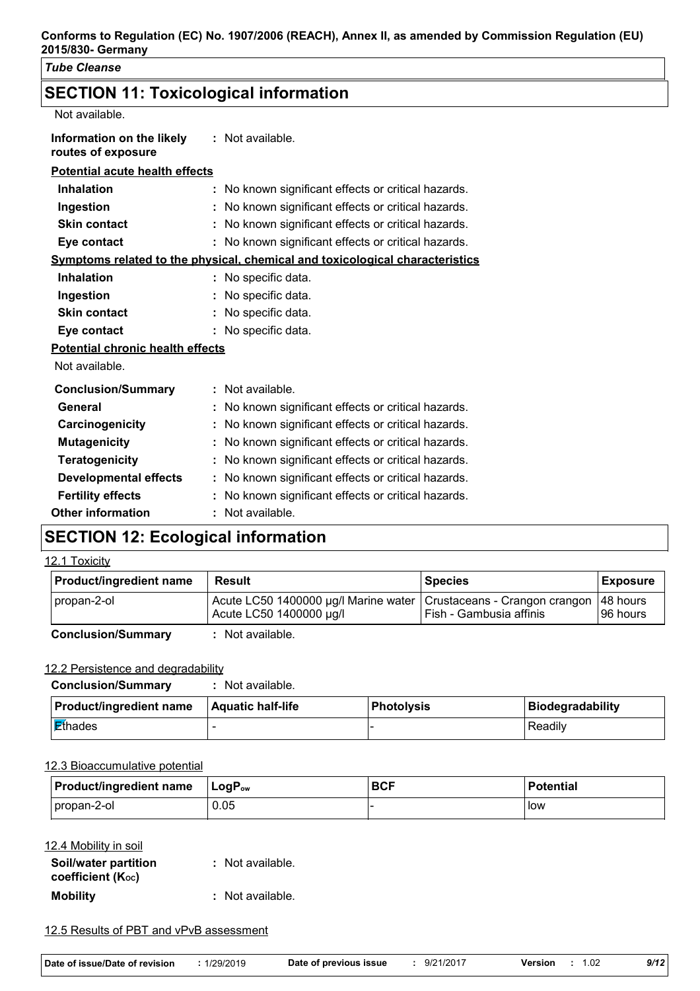# **SECTION 11: Toxicological information**

Not available.

| Information on the likely             | : Not available. |
|---------------------------------------|------------------|
| routes of exposure                    |                  |
| <b>Potential acute health effects</b> |                  |

| <b>Inhalation</b>                       | : No known significant effects or critical hazards.                                 |
|-----------------------------------------|-------------------------------------------------------------------------------------|
| Ingestion                               | No known significant effects or critical hazards.                                   |
| <b>Skin contact</b>                     | No known significant effects or critical hazards.                                   |
| Eye contact                             | : No known significant effects or critical hazards.                                 |
|                                         | <u>Symptoms related to the physical, chemical and toxicological characteristics</u> |
| <b>Inhalation</b>                       | : No specific data.                                                                 |
| Ingestion                               | No specific data.                                                                   |
| <b>Skin contact</b>                     | No specific data.                                                                   |
| Eye contact                             | : No specific data.                                                                 |
| <b>Potential chronic health effects</b> |                                                                                     |
| Not available.                          |                                                                                     |
| <b>Conclusion/Summary</b>               | : Not available.                                                                    |
| General                                 | No known significant effects or critical hazards.                                   |
| Carcinogenicity                         | No known significant effects or critical hazards.                                   |
| <b>Mutagenicity</b>                     | No known significant effects or critical hazards.                                   |
| <b>Teratogenicity</b>                   | No known significant effects or critical hazards.                                   |
| <b>Developmental effects</b>            | No known significant effects or critical hazards.                                   |
| <b>Fertility effects</b>                | No known significant effects or critical hazards.                                   |
| <b>Other information</b>                | Not available.                                                                      |

# **SECTION 12: Ecological information**

#### 12.1 Toxicity

| <b>Product/ingredient name</b> | <b>Result</b>                                                                                   | <b>Species</b>          | <b>Exposure</b>       |
|--------------------------------|-------------------------------------------------------------------------------------------------|-------------------------|-----------------------|
| propan-2-ol                    | Acute LC50 1400000 µg/l Marine water   Crustaceans - Crangon crangon<br>Acute LC50 1400000 µg/l | Fish - Gambusia affinis | 48 hours<br>I96 hours |
| <b>Conclusion/Summary</b>      | Not available.                                                                                  |                         |                       |

#### 12.2 Persistence and degradability

| <b>Conclusion/Summary</b>      | Not available.           |              |                         |
|--------------------------------|--------------------------|--------------|-------------------------|
| <b>Product/ingredient name</b> | <b>Aquatic half-life</b> | l Photolvsis | <b>Biodegradability</b> |
| Ethades                        |                          |              | Readily                 |

#### 12.3 Bioaccumulative potential

| <b>Product/ingredient name</b> | <b>⊥LoɑP</b> ow |  | <b>Potential</b> |  |  |
|--------------------------------|-----------------|--|------------------|--|--|
| propan-2-ol                    | 0.05            |  | llow             |  |  |

#### 12.4 Mobility in soil

| Soil/water partition<br>coefficient $(K_{oc})$ | : Not available. |
|------------------------------------------------|------------------|
| <b>Mobility</b>                                | : Not available. |

#### 12.5 Results of PBT and vPvB assessment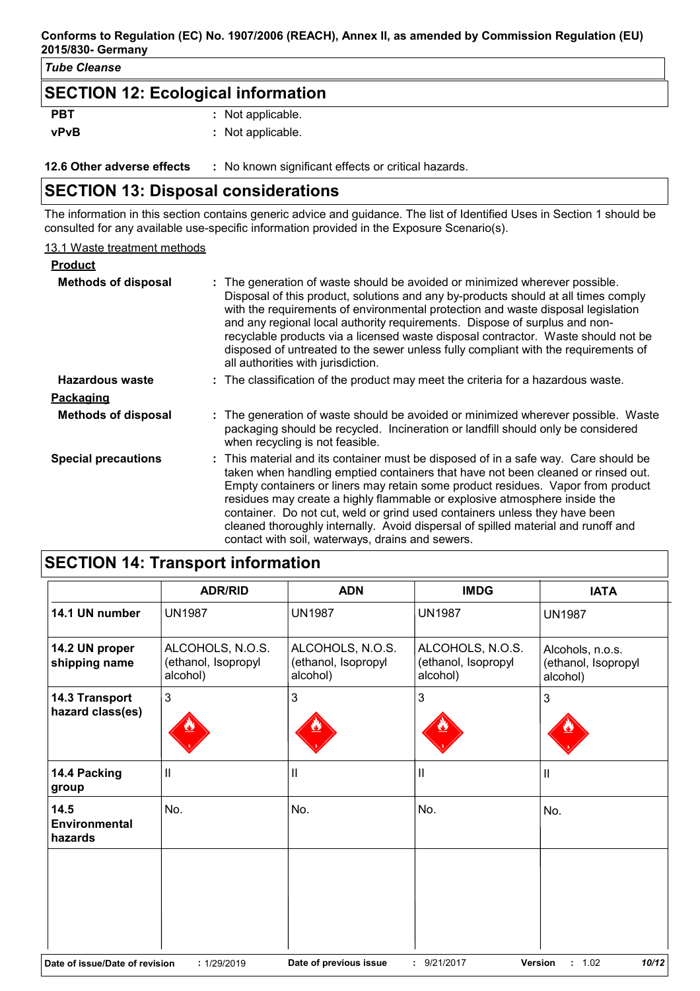#### **Conforms to Regulation (EC) No. 1907/2006 (REACH), Annex II, as amended by Commission Regulation (EU) 2015/830- Germany**

#### *Tube Cleanse*

# **SECTION 12: Ecological information**

| <b>PBT</b>  | : Not applicable. |
|-------------|-------------------|
| <b>vPvB</b> | : Not applicable. |

**12.6 Other adverse effects** : No known significant effects or critical hazards.

# **SECTION 13: Disposal considerations**

The information in this section contains generic advice and guidance. The list of Identified Uses in Section 1 should be consulted for any available use-specific information provided in the Exposure Scenario(s).

#### 13.1 Waste treatment methods

| <b>Product</b>             |                                                                                                                                                                                                                                                                                                                                                                                                                                                                                                                                                                |
|----------------------------|----------------------------------------------------------------------------------------------------------------------------------------------------------------------------------------------------------------------------------------------------------------------------------------------------------------------------------------------------------------------------------------------------------------------------------------------------------------------------------------------------------------------------------------------------------------|
| <b>Methods of disposal</b> | : The generation of waste should be avoided or minimized wherever possible.<br>Disposal of this product, solutions and any by-products should at all times comply<br>with the requirements of environmental protection and waste disposal legislation<br>and any regional local authority requirements. Dispose of surplus and non-<br>recyclable products via a licensed waste disposal contractor. Waste should not be<br>disposed of untreated to the sewer unless fully compliant with the requirements of<br>all authorities with jurisdiction.           |
| Hazardous waste            | : The classification of the product may meet the criteria for a hazardous waste.                                                                                                                                                                                                                                                                                                                                                                                                                                                                               |
| <u>Packaging</u>           |                                                                                                                                                                                                                                                                                                                                                                                                                                                                                                                                                                |
| <b>Methods of disposal</b> | : The generation of waste should be avoided or minimized wherever possible. Waste<br>packaging should be recycled. Incineration or landfill should only be considered<br>when recycling is not feasible.                                                                                                                                                                                                                                                                                                                                                       |
| <b>Special precautions</b> | : This material and its container must be disposed of in a safe way. Care should be<br>taken when handling emptied containers that have not been cleaned or rinsed out.<br>Empty containers or liners may retain some product residues. Vapor from product<br>residues may create a highly flammable or explosive atmosphere inside the<br>container. Do not cut, weld or grind used containers unless they have been<br>cleaned thoroughly internally. Avoid dispersal of spilled material and runoff and<br>contact with soil, waterways, drains and sewers. |

|                                    | <b>ADR/RID</b>                                                                                                              | <b>ADN</b>                                          | <b>IMDG</b>                                         | <b>IATA</b>                                         |  |  |  |  |  |
|------------------------------------|-----------------------------------------------------------------------------------------------------------------------------|-----------------------------------------------------|-----------------------------------------------------|-----------------------------------------------------|--|--|--|--|--|
| 14.1 UN number                     | <b>UN1987</b>                                                                                                               | <b>UN1987</b>                                       | <b>UN1987</b>                                       | <b>UN1987</b>                                       |  |  |  |  |  |
| 14.2 UN proper<br>shipping name    | ALCOHOLS, N.O.S.<br>(ethanol, Isopropyl<br>alcohol)                                                                         | ALCOHOLS, N.O.S.<br>(ethanol, Isopropyl<br>alcohol) | ALCOHOLS, N.O.S.<br>(ethanol, Isopropyl<br>alcohol) | Alcohols, n.o.s.<br>(ethanol, Isopropyl<br>alcohol) |  |  |  |  |  |
| 14.3 Transport<br>hazard class(es) | 3                                                                                                                           | 3                                                   | 3                                                   | 3                                                   |  |  |  |  |  |
| 14.4 Packing<br>group              | $\mathsf{I}$                                                                                                                | $\mathbf{II}$                                       | $\mathbf{I}$                                        | $\mathbf{  }$                                       |  |  |  |  |  |
| 14.5<br>Environmental<br>hazards   | No.                                                                                                                         | No.                                                 | No.                                                 | No.                                                 |  |  |  |  |  |
|                                    |                                                                                                                             |                                                     |                                                     |                                                     |  |  |  |  |  |
|                                    | 10/12<br>Date of previous issue<br>: 9/21/2017<br><b>Version</b><br>: 1.02<br>Date of issue/Date of revision<br>: 1/29/2019 |                                                     |                                                     |                                                     |  |  |  |  |  |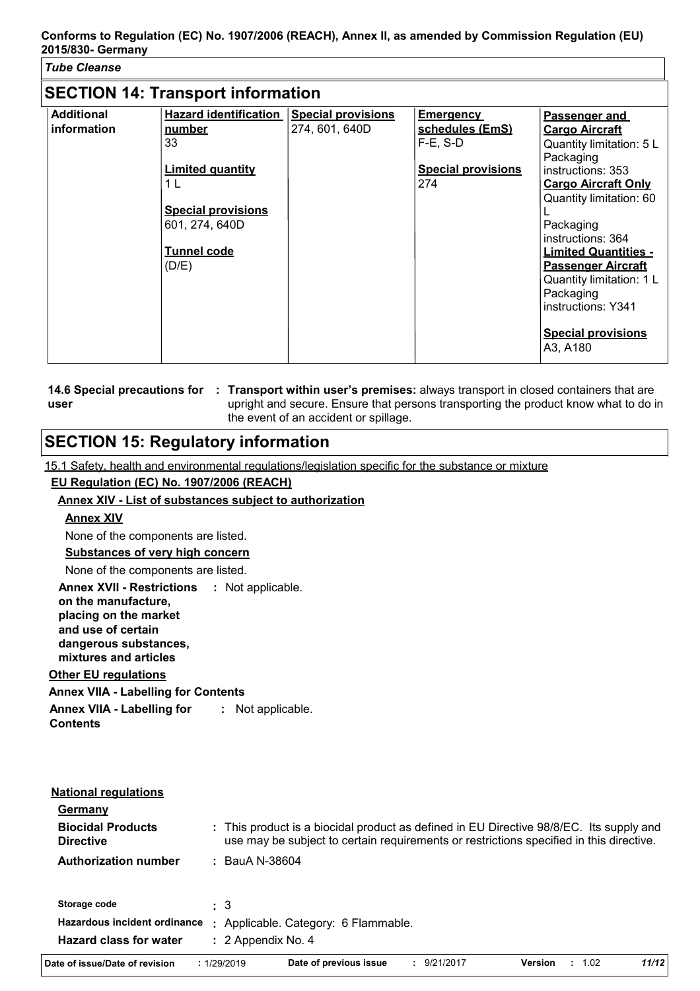| <b>Tube Cleanse</b>                      |                                                                                                              |                                             |                                                    |                                                                                                                                                                                                                                                                                  |  |  |  |  |
|------------------------------------------|--------------------------------------------------------------------------------------------------------------|---------------------------------------------|----------------------------------------------------|----------------------------------------------------------------------------------------------------------------------------------------------------------------------------------------------------------------------------------------------------------------------------------|--|--|--|--|
| <b>SECTION 14: Transport information</b> |                                                                                                              |                                             |                                                    |                                                                                                                                                                                                                                                                                  |  |  |  |  |
| <b>Additional</b><br>information         | <b>Hazard identification</b><br>number<br>33                                                                 | <b>Special provisions</b><br>274, 601, 640D | <b>Emergency</b><br>schedules (EmS)<br>$F-E$ , S-D | Passenger and<br><b>Cargo Aircraft</b><br>Quantity limitation: 5 L<br>Packaging                                                                                                                                                                                                  |  |  |  |  |
|                                          | <b>Limited quantity</b><br>1 L<br><b>Special provisions</b><br>601, 274, 640D<br><b>Tunnel code</b><br>(D/E) |                                             | <b>Special provisions</b><br>274                   | instructions: 353<br><b>Cargo Aircraft Only</b><br>Quantity limitation: 60<br>Packaging<br>instructions: 364<br><b>Limited Quantities -</b><br><b>Passenger Aircraft</b><br>Quantity limitation: 1 L<br>Packaging<br>instructions: Y341<br><b>Special provisions</b><br>A3, A180 |  |  |  |  |

|      | 14.6 Special precautions for : Transport within user's premises: always transport in closed containers that are |
|------|-----------------------------------------------------------------------------------------------------------------|
| user | upright and secure. Ensure that persons transporting the product know what to do in                             |
|      | the event of an accident or spillage.                                                                           |

# **SECTION 15: Regulatory information**

15.1 Safety, health and environmental regulations/legislation specific for the substance or mixture

#### **EU Regulation (EC) No. 1907/2006 (REACH)**

#### **Annex XIV - List of substances subject to authorization**

#### **Annex XIV**

None of the components are listed.

### **Substances of very high concern**

None of the components are listed.

**Annex XVII - Restrictions : Not applicable.** 

**on the manufacture, placing on the market and use of certain** 

**dangerous substances, mixtures and articles**

#### **Other EU regulations**

**Annex VIIA - Labelling for Contents**

**Annex VIIA - Labelling for Contents :** Not applicable.

| <b>National regulations</b>                  |    |                                    |                        |  |                                                                                                                                                                                    |                |      |       |
|----------------------------------------------|----|------------------------------------|------------------------|--|------------------------------------------------------------------------------------------------------------------------------------------------------------------------------------|----------------|------|-------|
| Germany                                      |    |                                    |                        |  |                                                                                                                                                                                    |                |      |       |
| <b>Biocidal Products</b><br><b>Directive</b> |    |                                    |                        |  | : This product is a biocidal product as defined in EU Directive 98/8/EC. Its supply and<br>use may be subject to certain requirements or restrictions specified in this directive. |                |      |       |
| <b>Authorization number</b>                  |    | $:$ BauA N-38604                   |                        |  |                                                                                                                                                                                    |                |      |       |
| Storage code                                 |    | $\pm$ 3                            |                        |  |                                                                                                                                                                                    |                |      |       |
| Hazardous incident ordinance                 | ÷. | Applicable. Category: 6 Flammable. |                        |  |                                                                                                                                                                                    |                |      |       |
| <b>Hazard class for water</b>                |    | $: 2$ Appendix No. 4               |                        |  |                                                                                                                                                                                    |                |      |       |
| Date of issue/Date of revision               |    | : 1/29/2019                        | Date of previous issue |  | : 9/21/2017                                                                                                                                                                        | <b>Version</b> | 1.02 | 11/12 |